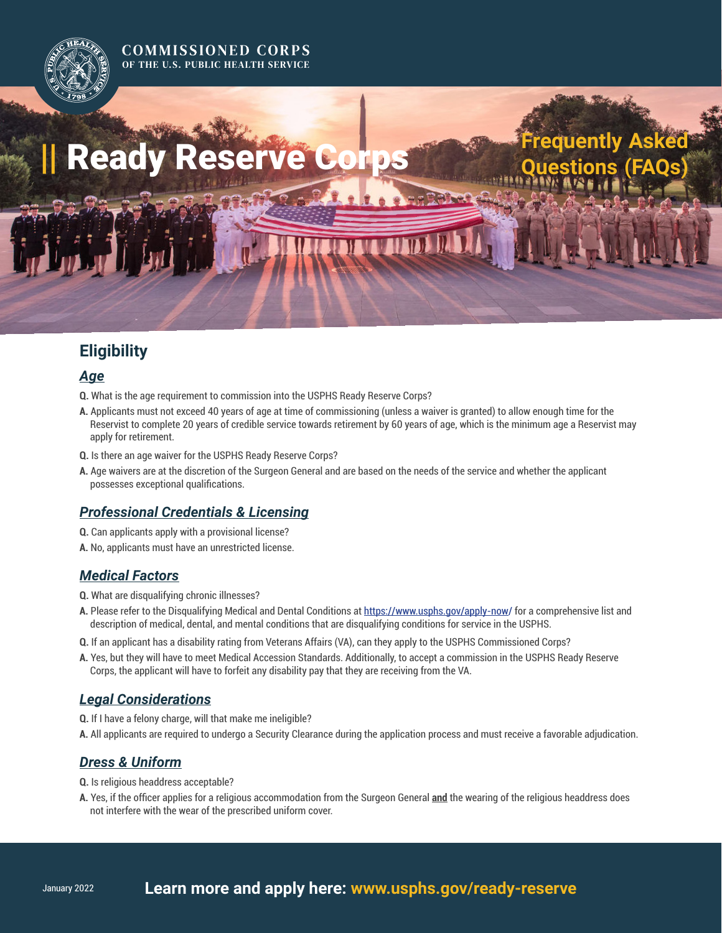#### **COMMISSIONED CORPS** OF THE U.S. PUBLIC HEALTH SERVICE

# **|| Ready Reserve Corps**

# **Eligibility**

#### *Age*

- **Q.** What is the age requirement to commission into the USPHS Ready Reserve Corps?
- **A.** Applicants must not exceed 40 years of age at time of commissioning (unless a waiver is granted) to allow enough time for the Reservist to complete 20 years of credible service towards retirement by 60 years of age, which is the minimum age a Reservist may apply for retirement.

**Frequently Asked** 

- **Q.** Is there an age waiver for the USPHS Ready Reserve Corps?
- **A.** Age waivers are at the discretion of the Surgeon General and are based on the needs of the service and whether the applicant possesses exceptional qualifications.

## *Professional Credentials & Licensing*

- **Q.** Can applicants apply with a provisional license?
- **A.** No, applicants must have an unrestricted license.

## *Medical Factors*

- **Q.** What are disqualifying chronic illnesses?
- **A.** Please refer to the Disqualifying Medical and Dental Conditions at <https://www.usphs.gov/apply-now/>for a comprehensive list and description of medical, dental, and mental conditions that are disqualifying conditions for service in the USPHS.
- **Q.** If an applicant has a disability rating from Veterans Affairs (VA), can they apply to the USPHS Commissioned Corps?
- **A.** Yes, but they will have to meet Medical Accession Standards. Additionally, to accept a commission in the USPHS Ready Reserve Corps, the applicant will have to forfeit any disability pay that they are receiving from the VA.

## *Legal Considerations*

- **Q.** If I have a felony charge, will that make me ineligible?
- **A.** All applicants are required to undergo a Security Clearance during the application process and must receive a favorable adjudication.

## *Dress & Uniform*

- **Q.** Is religious headdress acceptable?
- **A.** Yes, if the officer applies for a religious accommodation from the Surgeon General **and** the wearing of the religious headdress does not interfere with the wear of the prescribed uniform cover.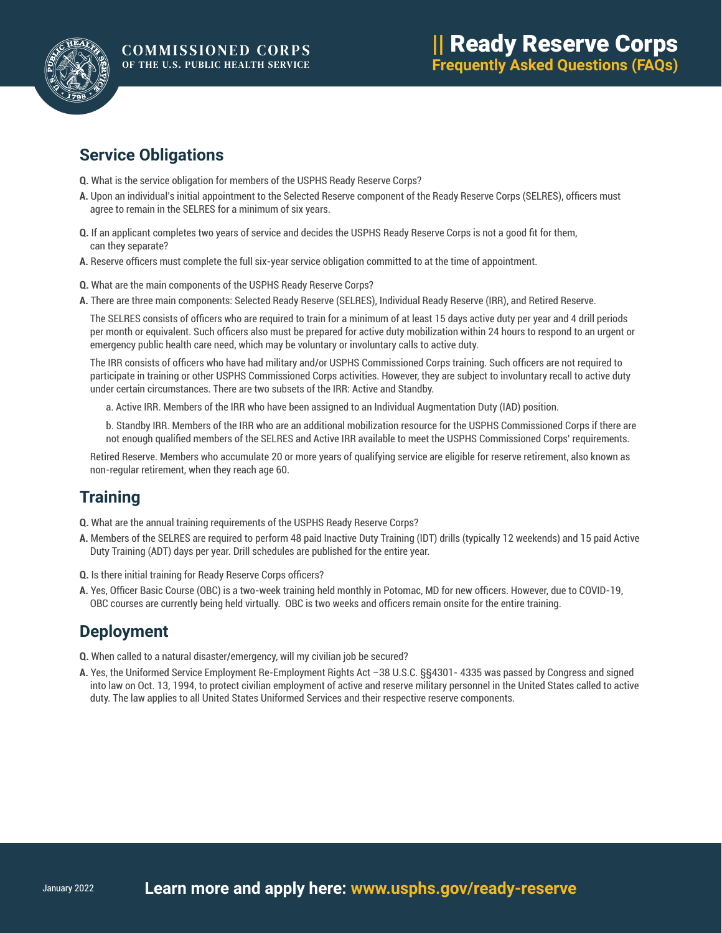

## **Service Obligations**

- **Q.** What is the service obligation for members of the USPHS Ready Reserve Corps?
- **A.** Upon an individual's initial appointment to the Selected Reserve component of the Ready Reserve Corps (SELRES), officers must agree to remain in the SELRES for a minimum of six years.
- **Q.** If an applicant completes two years of service and decides the USPHS Ready Reserve Corps is not a good fit for them, can they separate?
- **A.** Reserve officers must complete the full six-year service obligation committed to at the time of appointment.
- **Q.** What are the main components of the USPHS Ready Reserve Corps?
- **A.** There are three main components: Selected Ready Reserve (SELRES), Individual Ready Reserve (IRR), and Retired Reserve.

The SELRES consists of officers who are required to train for a minimum of at least 15 days active duty per year and 4 drill periods per month or equivalent. Such officers also must be prepared for active duty mobilization within 24 hours to respond to an urgent or emergency public health care need, which may be voluntary or involuntary calls to active duty.

The IRR consists of officers who have had military and/or USPHS Commissioned Corps training. Such officers are not required to participate in training or other USPHS Commissioned Corps activities. However, they are subject to involuntary recall to active duty under certain circumstances. There are two subsets of the IRR: Active and Standby.

a. Active IRR. Members of the IRR who have been assigned to an Individual Augmentation Duty (IAD) position.

b. Standby IRR. Members of the IRR who are an additional mobilization resource for the USPHS Commissioned Corps if there are not enough qualified members of the SELRES and Active IRR available to meet the USPHS Commissioned Corps' requirements.

Retired Reserve. Members who accumulate 20 or more years of qualifying service are eligible for reserve retirement, also known as non-regular retirement, when they reach age 60.

## **Training**

**Q.** What are the annual training requirements of the USPHS Ready Reserve Corps?

- **A.** Members of the SELRES are required to perform 48 paid Inactive Duty Training (IDT) drills (typically 12 weekends) and 15 paid Active Duty Training (ADT) days per year. Drill schedules are published for the entire year.
- **Q.** Is there initial training for Ready Reserve Corps officers?
- **A.** Yes, Officer Basic Course (OBC) is a two-week training held monthly in Potomac, MD for new officers. However, due to COVID-19, OBC courses are currently being held virtually. OBC is two weeks and officers remain onsite for the entire training.

## **Deployment**

- **Q.** When called to a natural disaster/emergency, will my civilian job be secured?
- **A.** Yes, the Uniformed Service Employment Re-Employment Rights Act –38 U.S.C. §§4301- 4335 was passed by Congress and signed into law on Oct. 13, 1994, to protect civilian employment of active and reserve military personnel in the United States called to active duty. The law applies to all United States Uniformed Services and their respective reserve components.